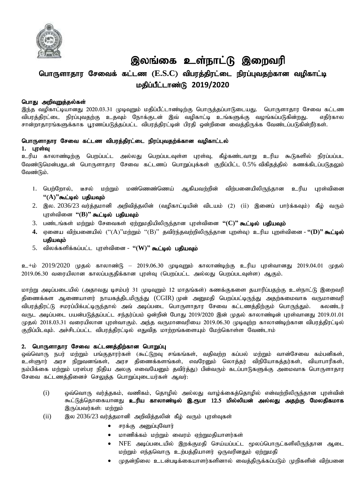

# இலங்கை உள்நாட்டு இறைவரி பொருளாதார சேவைக் கட்டண (E.S.C) விபரத்திரட்டை நிரப்புவதற்கான வழிகாட்டி kjpg ;gPl;lhz;L **2019/2020**

## பொது அறிவுறுத்தல்கள்

இந்த வழிகாட்டியானது 2020.03.31 முடிவுறும் மதிப்பீட்டாண்டிற்கு பொருத்தப்பாடுடையது. பொருளாதார சேவை கட்டண விபரத்திரட்டை நிரப்புவதற்கு உதவும் நோக்குடன் இவ் வழிகாட்டி உங்களுக்கு வழங்கப்படுகின<u>்றது</u>. எதிர்கால சான்றாதாரங்களுக்காக பூரணப்படுத்தப்பட்ட விபரத்திரட்டின் பிரதி ஒன்றினை வைத்திருக்க வேண்டப்படுகின்றீர்கள்.

## பொருளாதார சேவை கட்டண விபரத்திரட்டை நிரப்புவதற்க்கான வழிகாட்டல்  $1.$  புரள்வு

உரிய காலாண்டிற்கு பெறப்பட்ட அல்லது பெறப்படவுள்ள புரள்வு, கீழ்கண்டவாறு உரிய கூடுகளில் நிரப்பப்பட வேண்டுமென்பதுடன் பொருளாதார சேவை கட்டணப் பொறுப்புக்கள் குறிப்பிட்ட  $0.5\%$  விகிதத்தில் கணக்கிடப்படுதலும் வேண்டும்.

- 1. பெற்றோல், டீசல் மற்றும் மண்ணெண்ணெய் ஆகியவற்றின் விற்பனையிலிருந்தான உரிய புரள்வினை  $"({\bf A})"$ கூட்டில் பதியவும்
- 2. இல. 2036/23 வர்த்தமானி அறிவித்தலின் (வழிகாட்டியின் விடயம் (2) (ii) இனைப் பார்க்கவும்) கீழ் வரும் புரள்வினை "(B)" கூட்டில் பதியவும்
- 3. பண்டங்கள் மற்றும் சேவைகள் ஏற்றுமதியிலிருந்தான புரள்வினை "(C)" கூட்<mark>டில் பதியவும்</mark>
- 4. ஏனைய விற்பனையில் ("(A)"மற்றும் "(B)" தவிர்ந்தவற்றிலிருந்தான புறள்வு) உரிய புறள்வினை **"(D)" கூட்டில்** பகியவம்
- 5. விலக்களிக்கப்பட்ட புரள்வினை **"(W)" கூட்டில் பதியவும்**

 $p_{\pm}$ ம்  $2019/2020$  முதல் காலாண்டு – 2019.06.30 முடிவுறும் காலாண்டிற்கு உரிய புரள்வானது 2019.04.01 முதல் 2019.06.30 வரையிலான காலப்பகுதிக்கான புரள்வு (பெறப்பட்ட அல்லது பெறப்படவுள்ள) ஆகும்.

மாற்று அடிப்படையில் (அதாவது டிசம்பர் 31 முடிவுறும் 12 மாதங்கள்) கணக்குகளை தயாரிப்பதற்கு உள்நாட்டு இறைவரி திணைக்கள ஆணையாளர் நாயகத்திடமிருந்து (CGIR) முன் அனுமதி பெறப்பட்டிருந்து அதற்கமைவாக வருமானவரி விபரத்திரட்டு சமரப்பிக்பட்டிருந்தால் அவ் அடிப்படை பொருளாதார சேவை கட்டணத்திற்கும் பொருந்தும். கலண்டர் வருட அடிப்படை பயன்படுத்தப்பட்ட சந்தர்ப்பம் ஒன்றின் போது 2019/2020 இன் முதல் காலாண்டின் புரள்வானது 2019.01.01 முதல் 2018.03.31 வரையிலான புரள்வாகும். அந்த வருமானவரியை 2019.06.30 முடிவுற்ற காலாண்டிற்கான விபரத்திரட்டில் குறிப்பிடவும். அச்சிடப்பட்ட விபரத்திரட்டில் எதுவித மாற்றங்களையும் மேற்கொள்ள வேண்டாம்

## 2. பொருளாதார சேவை கட்டணத்திற்கான பொறுப்பு

ஒவ்வொரு நபர் மற்றும் பங்குதாரர்கள் (கூட்டுறவு சங்கங்கள், வதிவற்ற கப்பல் மற்றும் வான்சேவை கம்பனிகள், உள்ளுார் அரச நிறுவனங்கள், அரச திணைக்களங்கள், எவரேனும் லொத்தர் விநியோகத்தர்கள், வியாபாரிகள், நம்பிக்கை மற்றும் பரஸ்பர நிதிய அலகு எவையேனும் தவிர்த்து) பின்வரும் கடப்பாடுகளுக்கு அமைவாக பொருளாதார சேவை கட்டணத்தினைச் செலுத்த பொறுப்புடையர்கள் ஆவர்:

- (i) xt;nthU tu;j;jfk ;> tzpfk;> njhopy; my ;yJ tho;f;ifj;njhopy; vd;tw;wpypUe;jhd Gus;tpd; கூட்டுத்தொகையானது **உரிய காலாண்டில் இ.ரூபா 12.5 மில்லியன் அல்லது அதற்கு மேலதிகமாக** இருப்பவர்கள்: மற்றும்
- $(iii)$  , இல 2036/23 வர்க்கமானி அறிவிக்கலின் கீம் வரும் பாள்வகள்
	- சரக்கு அனுப்புவோர்
	- $\bullet$  மாணிக்கம் மற்றும் வைரம் ஏற்றுமதியாளர்கள்
	- NFE அடிப்படையில் இறக்குமதி செய்யப்பட்ட மூலப்பொருட்களிலிருந்தான ஆடை மற்றும் எந்தவொரு உற்பத்தியாளர் ஒருவரினதும் ஏற்றுமதி
	- $\bullet$  (முதன்நிலை உடன்படிக்கையாளர்களினால் வைத்திருக்கப்படும் முறிகளின் விற்பனை